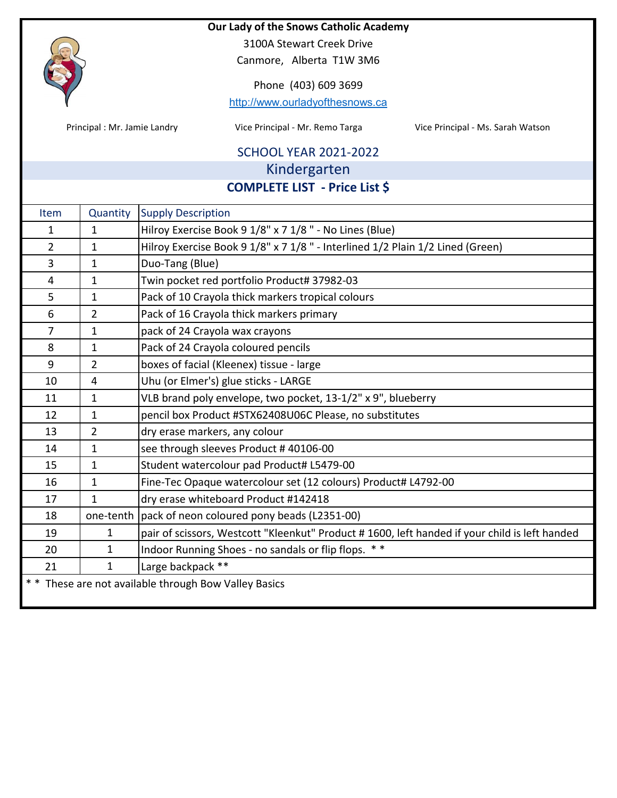

3100A Stewart Creek Drive

Canmore, Alberta T1W 3M6

Phone (403) 609 3699

http://www.ourladyofthesnows.ca

Principal : Mr. Jamie Landry **State Communist Communist Communist Communist Communist Communist Communist Communist Communist Communist Communist Communist Communist Communist Communist Communist Communist Communist Commun** 

## SCHOOL YEAR 2021‐2022 Kindergarten

**COMPLETE LIST ‐ Price List \$**

| Item           | Quantity       | <b>Supply Description</b>                                                                     |  |
|----------------|----------------|-----------------------------------------------------------------------------------------------|--|
| 1              | $\mathbf{1}$   | Hilroy Exercise Book 9 1/8" x 7 1/8" - No Lines (Blue)                                        |  |
| $\overline{2}$ | $\mathbf{1}$   | Hilroy Exercise Book 9 1/8" x 7 1/8" - Interlined 1/2 Plain 1/2 Lined (Green)                 |  |
| 3              | $\mathbf{1}$   | Duo-Tang (Blue)                                                                               |  |
| 4              | $\mathbf{1}$   | Twin pocket red portfolio Product# 37982-03                                                   |  |
| 5              | $\mathbf{1}$   | Pack of 10 Crayola thick markers tropical colours                                             |  |
| 6              | $\overline{2}$ | Pack of 16 Crayola thick markers primary                                                      |  |
| $\overline{7}$ | $\mathbf{1}$   | pack of 24 Crayola wax crayons                                                                |  |
| 8              | $\mathbf{1}$   | Pack of 24 Crayola coloured pencils                                                           |  |
| 9              | $\overline{2}$ | boxes of facial (Kleenex) tissue - large                                                      |  |
| 10             | 4              | Uhu (or Elmer's) glue sticks - LARGE                                                          |  |
| 11             | $\mathbf{1}$   | VLB brand poly envelope, two pocket, 13-1/2" x 9", blueberry                                  |  |
| 12             | $\mathbf{1}$   | pencil box Product #STX62408U06C Please, no substitutes                                       |  |
| 13             | $\overline{2}$ | dry erase markers, any colour                                                                 |  |
| 14             | $\mathbf{1}$   | see through sleeves Product #40106-00                                                         |  |
| 15             | $\mathbf{1}$   | Student watercolour pad Product# L5479-00                                                     |  |
| 16             | $\mathbf{1}$   | Fine-Tec Opaque watercolour set (12 colours) Product# L4792-00                                |  |
| 17             | $\mathbf{1}$   | dry erase whiteboard Product #142418                                                          |  |
| 18             |                | one-tenth pack of neon coloured pony beads (L2351-00)                                         |  |
| 19             | $\mathbf{1}$   | pair of scissors, Westcott "Kleenkut" Product #1600, left handed if your child is left handed |  |
| 20             | $\mathbf{1}$   | Indoor Running Shoes - no sandals or flip flops. **                                           |  |
| 21             | $\mathbf{1}$   | Large backpack **                                                                             |  |
|                |                | ** These are not available through Bow Valley Basics                                          |  |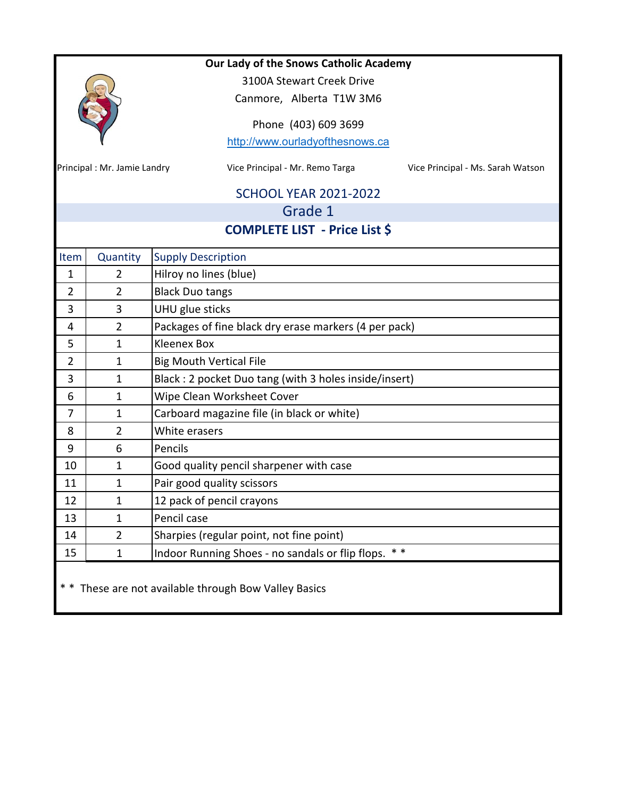|                |                             | Our Lady of the Snows Catholic Academy                               |  |  |
|----------------|-----------------------------|----------------------------------------------------------------------|--|--|
|                |                             | 3100A Stewart Creek Drive                                            |  |  |
|                |                             | Canmore, Alberta T1W 3M6                                             |  |  |
|                |                             | Phone (403) 609 3699                                                 |  |  |
|                |                             | http://www.ourladyofthesnows.ca                                      |  |  |
|                |                             |                                                                      |  |  |
|                | Principal: Mr. Jamie Landry | Vice Principal - Mr. Remo Targa<br>Vice Principal - Ms. Sarah Watson |  |  |
|                |                             | <b>SCHOOL YEAR 2021-2022</b>                                         |  |  |
|                |                             | Grade 1                                                              |  |  |
|                |                             | <b>COMPLETE LIST - Price List \$</b>                                 |  |  |
| Item           | Quantity                    | <b>Supply Description</b>                                            |  |  |
| 1              | $\overline{2}$              | Hilroy no lines (blue)                                               |  |  |
| $\overline{2}$ | $\overline{2}$              | <b>Black Duo tangs</b>                                               |  |  |
| 3              | 3                           | UHU glue sticks                                                      |  |  |
| 4              | $\overline{2}$              | Packages of fine black dry erase markers (4 per pack)                |  |  |
| 5              | $\mathbf{1}$                | <b>Kleenex Box</b>                                                   |  |  |
| $\overline{2}$ | 1                           | <b>Big Mouth Vertical File</b>                                       |  |  |
| 3              | $\mathbf{1}$                | Black: 2 pocket Duo tang (with 3 holes inside/insert)                |  |  |
| 6              | $\mathbf{1}$                | Wipe Clean Worksheet Cover                                           |  |  |
| 7              | $\mathbf{1}$                | Carboard magazine file (in black or white)                           |  |  |
| 8              | $\overline{2}$              | White erasers                                                        |  |  |
| 9              | 6                           | Pencils                                                              |  |  |
| 10             | $\mathbf{1}$                | Good quality pencil sharpener with case                              |  |  |
| 11             | 1                           | Pair good quality scissors                                           |  |  |
| 12             | 1                           | 12 pack of pencil crayons                                            |  |  |
| 13             | $\mathbf{1}$                | Pencil case                                                          |  |  |
| 14             | $\overline{2}$              | Sharpies (regular point, not fine point)                             |  |  |
| 15             | $\mathbf{1}$                | Indoor Running Shoes - no sandals or flip flops.<br>* *              |  |  |
|                |                             | These are not available through Bow Valley Basics                    |  |  |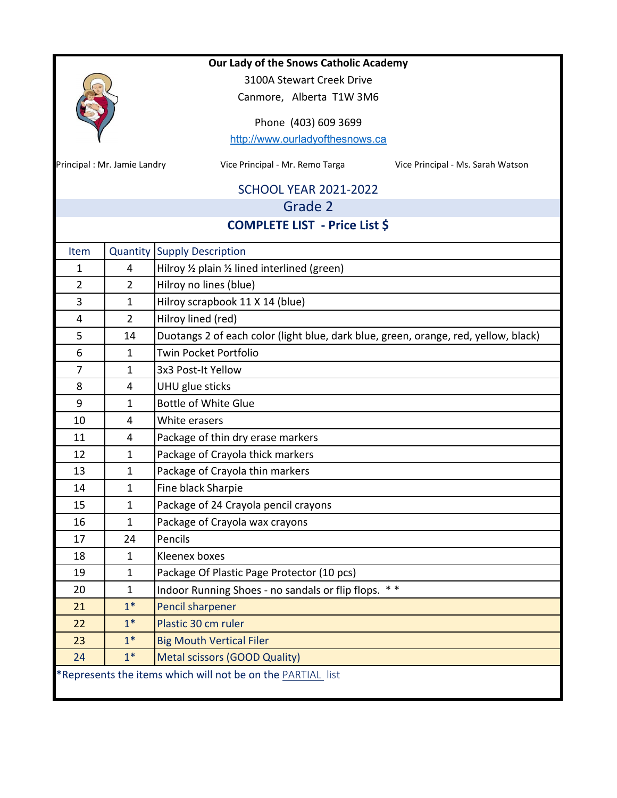|                |                                       | Our Lady of the Snows Catholic Academy                                              |  |  |  |
|----------------|---------------------------------------|-------------------------------------------------------------------------------------|--|--|--|
|                |                                       | 3100A Stewart Creek Drive                                                           |  |  |  |
|                |                                       | Canmore, Alberta T1W 3M6                                                            |  |  |  |
|                |                                       | Phone (403) 609 3699                                                                |  |  |  |
|                |                                       | http://www.ourladyofthesnows.ca                                                     |  |  |  |
|                |                                       |                                                                                     |  |  |  |
|                | Principal: Mr. Jamie Landry           | Vice Principal - Mr. Remo Targa<br>Vice Principal - Ms. Sarah Watson                |  |  |  |
|                |                                       | <b>SCHOOL YEAR 2021-2022</b>                                                        |  |  |  |
|                |                                       | Grade 2                                                                             |  |  |  |
|                |                                       | <b>COMPLETE LIST - Price List \$</b>                                                |  |  |  |
| Item           |                                       | <b>Quantity Supply Description</b>                                                  |  |  |  |
| 1              | 4                                     | Hilroy $\frac{1}{2}$ plain $\frac{1}{2}$ lined interlined (green)                   |  |  |  |
| $\overline{2}$ | $\overline{2}$                        | Hilroy no lines (blue)                                                              |  |  |  |
| 3              | $\mathbf{1}$                          | Hilroy scrapbook 11 X 14 (blue)                                                     |  |  |  |
| 4              | $\overline{2}$                        | Hilroy lined (red)                                                                  |  |  |  |
| 5              | 14                                    | Duotangs 2 of each color (light blue, dark blue, green, orange, red, yellow, black) |  |  |  |
| 6              | $\mathbf{1}$                          | Twin Pocket Portfolio                                                               |  |  |  |
| $\overline{7}$ | $\mathbf{1}$                          | 3x3 Post-It Yellow                                                                  |  |  |  |
| 8              | 4                                     | UHU glue sticks                                                                     |  |  |  |
| 9              | $\mathbf{1}$                          | <b>Bottle of White Glue</b>                                                         |  |  |  |
| 10             | 4                                     | White erasers                                                                       |  |  |  |
| 11             | 4                                     | Package of thin dry erase markers                                                   |  |  |  |
| 12             | $\mathbf{1}$                          | Package of Crayola thick markers                                                    |  |  |  |
| 13             | $\mathbf{1}$                          | Package of Crayola thin markers                                                     |  |  |  |
| 14             | 1                                     | Fine black Sharpie                                                                  |  |  |  |
| 15             | 1                                     | Package of 24 Crayola pencil crayons                                                |  |  |  |
| 16             | $\mathbf{1}$                          | Package of Crayola wax crayons                                                      |  |  |  |
| 17             | 24                                    | Pencils                                                                             |  |  |  |
| 18             | $\mathbf{1}$                          | Kleenex boxes                                                                       |  |  |  |
| 19             | $\mathbf{1}$                          | Package Of Plastic Page Protector (10 pcs)                                          |  |  |  |
| 20             | $\mathbf{1}$                          | Indoor Running Shoes - no sandals or flip flops. **                                 |  |  |  |
| 21             | $1*$                                  | <b>Pencil sharpener</b>                                                             |  |  |  |
| 22             | $1*$                                  | Plastic 30 cm ruler                                                                 |  |  |  |
| 23             | $1*$                                  | <b>Big Mouth Vertical Filer</b>                                                     |  |  |  |
| 24             | $1*$<br>Metal scissors (GOOD Quality) |                                                                                     |  |  |  |
|                |                                       | *Represents the items which will not be on the PARTIAL list                         |  |  |  |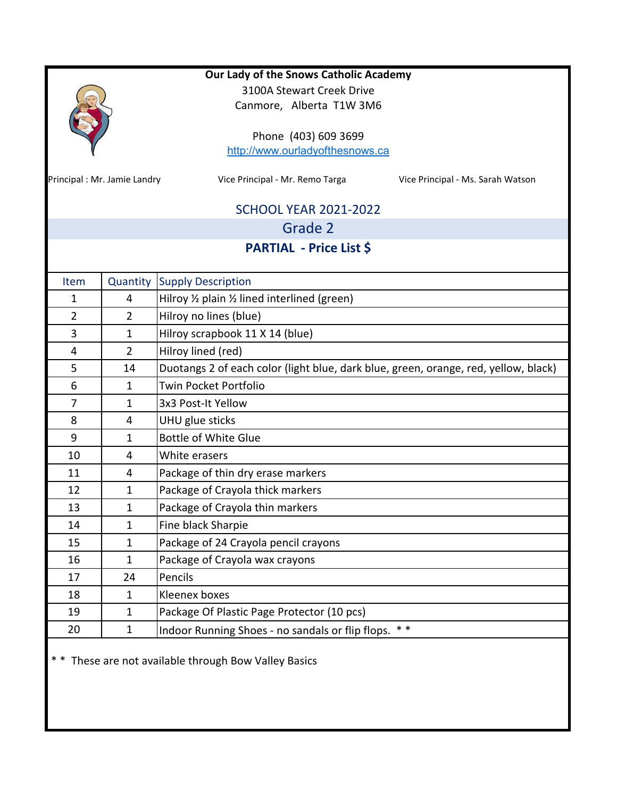|                             |                                                                           | Our Lady of the Snows Catholic Academy                                              |  |  |  |
|-----------------------------|---------------------------------------------------------------------------|-------------------------------------------------------------------------------------|--|--|--|
|                             |                                                                           | 3100A Stewart Creek Drive                                                           |  |  |  |
|                             |                                                                           | Canmore, Alberta T1W 3M6                                                            |  |  |  |
|                             |                                                                           | Phone (403) 609 3699                                                                |  |  |  |
|                             |                                                                           | http://www.ourladyofthesnows.ca                                                     |  |  |  |
|                             |                                                                           |                                                                                     |  |  |  |
| Principal: Mr. Jamie Landry |                                                                           | Vice Principal - Mr. Remo Targa<br>Vice Principal - Ms. Sarah Watson                |  |  |  |
|                             |                                                                           | <b>SCHOOL YEAR 2021-2022</b>                                                        |  |  |  |
|                             |                                                                           | Grade 2                                                                             |  |  |  |
|                             |                                                                           | <b>PARTIAL - Price List \$</b>                                                      |  |  |  |
|                             |                                                                           |                                                                                     |  |  |  |
| Item                        | Quantity                                                                  | <b>Supply Description</b>                                                           |  |  |  |
| 1                           | 4                                                                         | Hilroy $\frac{1}{2}$ plain $\frac{1}{2}$ lined interlined (green)                   |  |  |  |
| $\overline{2}$              | $\overline{2}$                                                            | Hilroy no lines (blue)                                                              |  |  |  |
| 3                           | $\mathbf{1}$                                                              | Hilroy scrapbook 11 X 14 (blue)                                                     |  |  |  |
| 4                           | $\overline{2}$                                                            | Hilroy lined (red)                                                                  |  |  |  |
| 5                           | 14                                                                        | Duotangs 2 of each color (light blue, dark blue, green, orange, red, yellow, black) |  |  |  |
| 6                           | $\mathbf{1}$                                                              | Twin Pocket Portfolio                                                               |  |  |  |
| $\overline{7}$              | $\mathbf{1}$                                                              | 3x3 Post-It Yellow                                                                  |  |  |  |
| 8                           | 4                                                                         | UHU glue sticks                                                                     |  |  |  |
| 9                           | $\mathbf{1}$                                                              | <b>Bottle of White Glue</b>                                                         |  |  |  |
| 10                          | 4                                                                         | White erasers                                                                       |  |  |  |
| 11                          | 4                                                                         | Package of thin dry erase markers                                                   |  |  |  |
| 12                          | $\mathbf{1}$                                                              | Package of Crayola thick markers                                                    |  |  |  |
| 13                          | $\mathbf{1}$                                                              | Package of Crayola thin markers                                                     |  |  |  |
| 14                          | $\mathbf{1}$                                                              | Fine black Sharpie                                                                  |  |  |  |
| 15                          | $\mathbf{1}$                                                              | Package of 24 Crayola pencil crayons                                                |  |  |  |
| 16                          | $\mathbf{1}$                                                              | Package of Crayola wax crayons                                                      |  |  |  |
| 17                          | 24                                                                        | Pencils                                                                             |  |  |  |
| 18                          | $\mathbf{1}$                                                              | Kleenex boxes                                                                       |  |  |  |
| 19                          | $\mathbf{1}$                                                              | Package Of Plastic Page Protector (10 pcs)                                          |  |  |  |
| 20                          | $* *$<br>$\mathbf{1}$<br>Indoor Running Shoes - no sandals or flip flops. |                                                                                     |  |  |  |
|                             |                                                                           |                                                                                     |  |  |  |

\* \* These are not available through Bow Valley Basics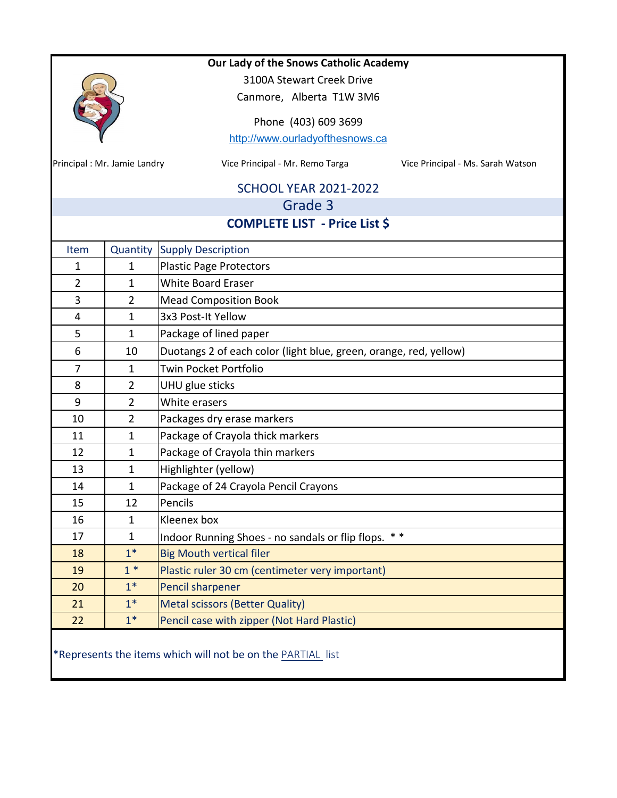|                           |                             | Our Lady of the Snows Catholic Academy                               |  |  |  |
|---------------------------|-----------------------------|----------------------------------------------------------------------|--|--|--|
| 3100A Stewart Creek Drive |                             |                                                                      |  |  |  |
|                           | Canmore, Alberta T1W 3M6    |                                                                      |  |  |  |
| Phone (403) 609 3699      |                             |                                                                      |  |  |  |
|                           |                             | http://www.ourladyofthesnows.ca                                      |  |  |  |
|                           | Principal: Mr. Jamie Landry | Vice Principal - Mr. Remo Targa<br>Vice Principal - Ms. Sarah Watson |  |  |  |
|                           |                             |                                                                      |  |  |  |
|                           |                             | <b>SCHOOL YEAR 2021-2022</b>                                         |  |  |  |
|                           |                             | Grade 3                                                              |  |  |  |
|                           |                             | <b>COMPLETE LIST - Price List \$</b>                                 |  |  |  |
| Item                      | Quantity                    | <b>Supply Description</b>                                            |  |  |  |
| 1                         | 1                           | <b>Plastic Page Protectors</b>                                       |  |  |  |
| $\overline{2}$            | $\mathbf{1}$                | <b>White Board Eraser</b>                                            |  |  |  |
| 3                         | $\overline{2}$              | <b>Mead Composition Book</b>                                         |  |  |  |
| $\overline{4}$            | $\mathbf{1}$                | 3x3 Post-It Yellow                                                   |  |  |  |
| 5                         | $\mathbf{1}$                | Package of lined paper                                               |  |  |  |
| 6                         | 10                          | Duotangs 2 of each color (light blue, green, orange, red, yellow)    |  |  |  |
| $\overline{7}$            | $\mathbf{1}$                | Twin Pocket Portfolio                                                |  |  |  |
| 8                         | $\overline{2}$              | UHU glue sticks                                                      |  |  |  |
| 9                         | $\overline{2}$              | White erasers                                                        |  |  |  |
| 10                        | $\overline{2}$              | Packages dry erase markers                                           |  |  |  |
| 11                        | 1                           | Package of Crayola thick markers                                     |  |  |  |
| 12                        | $\mathbf{1}$                | Package of Crayola thin markers                                      |  |  |  |
| 13                        | $\mathbf{1}$                | Highlighter (yellow)                                                 |  |  |  |
| 14                        | $\mathbf{1}$                | Package of 24 Crayola Pencil Crayons                                 |  |  |  |
| 15                        | 12                          | Pencils                                                              |  |  |  |
| 16                        | $\mathbf{1}$                | Kleenex box                                                          |  |  |  |
| 17                        | 1                           | Indoor Running Shoes - no sandals or flip flops. **                  |  |  |  |
| 18                        | $1*$                        | <b>Big Mouth vertical filer</b>                                      |  |  |  |
| 19                        | $1*$                        | Plastic ruler 30 cm (centimeter very important)                      |  |  |  |
| 20                        | $1*$                        | Pencil sharpener                                                     |  |  |  |
| 21                        | $1*$                        | <b>Metal scissors (Better Quality)</b>                               |  |  |  |
| 22                        | $1*$                        | Pencil case with zipper (Not Hard Plastic)                           |  |  |  |
|                           |                             | *Represents the items which will not be on the PARTIAL list          |  |  |  |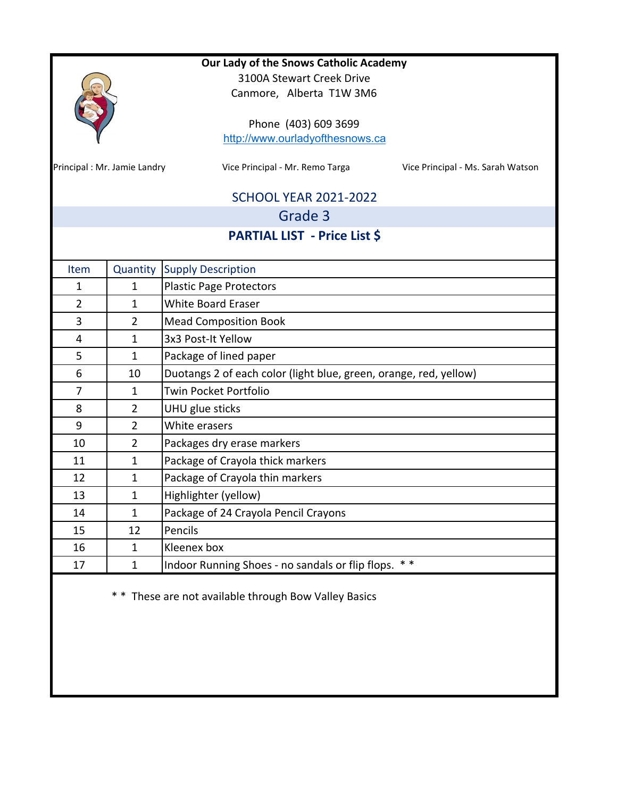|                                                                                 |                             | Our Lady of the Snows Catholic Academy                               |  |
|---------------------------------------------------------------------------------|-----------------------------|----------------------------------------------------------------------|--|
|                                                                                 |                             | 3100A Stewart Creek Drive                                            |  |
|                                                                                 |                             | Canmore, Alberta T1W 3M6                                             |  |
|                                                                                 |                             | Phone (403) 609 3699                                                 |  |
|                                                                                 |                             | http://www.ourladyofthesnows.ca                                      |  |
|                                                                                 |                             |                                                                      |  |
| Principal: Mr. Jamie Landry                                                     |                             | Vice Principal - Mr. Remo Targa<br>Vice Principal - Ms. Sarah Watson |  |
|                                                                                 |                             | <b>SCHOOL YEAR 2021-2022</b>                                         |  |
|                                                                                 |                             | Grade 3                                                              |  |
|                                                                                 |                             | <b>PARTIAL LIST - Price List \$</b>                                  |  |
|                                                                                 |                             |                                                                      |  |
| Item                                                                            | Quantity                    | <b>Supply Description</b>                                            |  |
| 1                                                                               | 1                           | <b>Plastic Page Protectors</b>                                       |  |
| $\overline{2}$                                                                  | 1                           | <b>White Board Eraser</b>                                            |  |
| $\mathbf{3}$                                                                    | $\overline{2}$              | <b>Mead Composition Book</b>                                         |  |
| 4                                                                               | $\mathbf{1}$                | 3x3 Post-It Yellow                                                   |  |
| 5                                                                               | 1                           | Package of lined paper                                               |  |
| 6                                                                               | 10                          | Duotangs 2 of each color (light blue, green, orange, red, yellow)    |  |
| $\overline{7}$                                                                  | 1                           | Twin Pocket Portfolio                                                |  |
| 8                                                                               | $\overline{2}$              | UHU glue sticks                                                      |  |
| 9                                                                               | $\overline{2}$              | White erasers                                                        |  |
| 10                                                                              | $\overline{2}$              | Packages dry erase markers                                           |  |
| 11                                                                              | $\mathbf{1}$                | Package of Crayola thick markers                                     |  |
| 12                                                                              | $\mathbf{1}$                | Package of Crayola thin markers                                      |  |
| 13                                                                              | $\mathbf{1}$                | Highlighter (yellow)                                                 |  |
| 14                                                                              | $\mathbf 1$                 | Package of 24 Crayola Pencil Crayons                                 |  |
| 15                                                                              | 12                          | Pencils                                                              |  |
| 16                                                                              | Kleenex box<br>$\mathbf{1}$ |                                                                      |  |
| $* *$<br>Indoor Running Shoes - no sandals or flip flops.<br>$\mathbf{1}$<br>17 |                             |                                                                      |  |

\* \* These are not available through Bow Valley Basics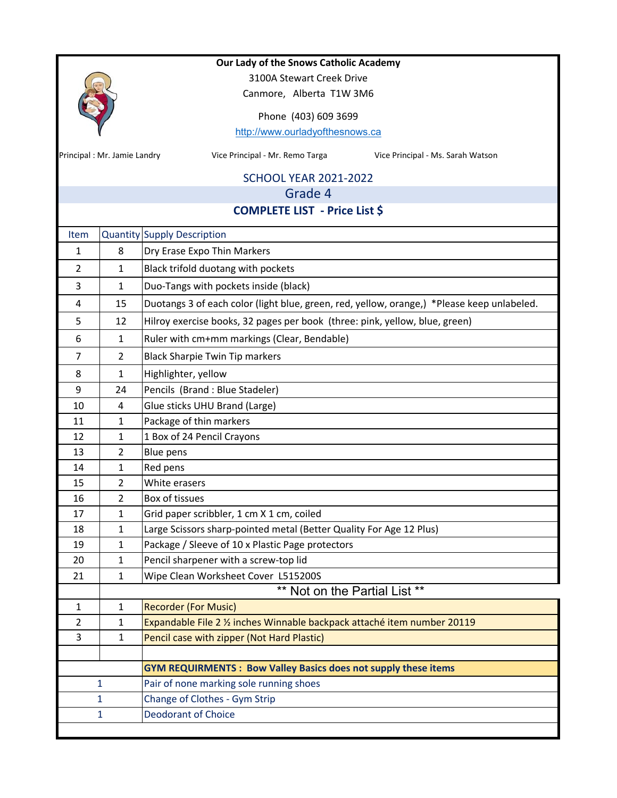|                |                             | Our Lady of the Snows Catholic Academy                                                     |  |  |
|----------------|-----------------------------|--------------------------------------------------------------------------------------------|--|--|
|                |                             | 3100A Stewart Creek Drive                                                                  |  |  |
|                |                             | Canmore, Alberta T1W 3M6                                                                   |  |  |
|                |                             | Phone (403) 609 3699                                                                       |  |  |
|                |                             | http://www.ourladyofthesnows.ca                                                            |  |  |
|                | Principal: Mr. Jamie Landry | Vice Principal - Mr. Remo Targa<br>Vice Principal - Ms. Sarah Watson                       |  |  |
|                |                             | <b>SCHOOL YEAR 2021-2022</b>                                                               |  |  |
|                |                             | Grade 4                                                                                    |  |  |
|                |                             | <b>COMPLETE LIST - Price List \$</b>                                                       |  |  |
| Item           |                             | <b>Quantity Supply Description</b>                                                         |  |  |
| 1              | 8                           | Dry Erase Expo Thin Markers                                                                |  |  |
| $\overline{2}$ | $\mathbf{1}$                | Black trifold duotang with pockets                                                         |  |  |
| 3              | $\mathbf{1}$                | Duo-Tangs with pockets inside (black)                                                      |  |  |
| 4              | 15                          | Duotangs 3 of each color (light blue, green, red, yellow, orange,) *Please keep unlabeled. |  |  |
| 5              | 12                          | Hilroy exercise books, 32 pages per book (three: pink, yellow, blue, green)                |  |  |
| 6              | $\mathbf{1}$                | Ruler with cm+mm markings (Clear, Bendable)                                                |  |  |
| $\overline{7}$ | $\overline{2}$              | <b>Black Sharpie Twin Tip markers</b>                                                      |  |  |
| 8              | $\mathbf{1}$                | Highlighter, yellow                                                                        |  |  |
| 9              | 24                          | Pencils (Brand : Blue Stadeler)                                                            |  |  |
| 10             | 4                           | Glue sticks UHU Brand (Large)                                                              |  |  |
| 11             | $\mathbf{1}$                | Package of thin markers                                                                    |  |  |
| 12             | 1                           | 1 Box of 24 Pencil Crayons                                                                 |  |  |
| 13             | $\overline{2}$              | Blue pens                                                                                  |  |  |
| 14             | 1                           | Red pens                                                                                   |  |  |
| 15             | 2                           | White erasers                                                                              |  |  |
| 16             | $\overline{2}$              | <b>Box of tissues</b>                                                                      |  |  |
| 17             | 1                           | Grid paper scribbler, 1 cm X 1 cm, coiled                                                  |  |  |
| 18             | $\mathbf{1}$                | Large Scissors sharp-pointed metal (Better Quality For Age 12 Plus)                        |  |  |
| 19             | $\mathbf{1}$                | Package / Sleeve of 10 x Plastic Page protectors                                           |  |  |
| 20             | $\mathbf{1}$                | Pencil sharpener with a screw-top lid                                                      |  |  |
| 21             | $\mathbf{1}$                | Wipe Clean Worksheet Cover L515200S                                                        |  |  |
|                |                             | ** Not on the Partial List **                                                              |  |  |
| $\mathbf{1}$   | $\mathbf{1}$                | <b>Recorder (For Music)</b>                                                                |  |  |
| 2              | 1                           | Expandable File 2 % inches Winnable backpack attaché item number 20119                     |  |  |
| 3              | $\mathbf{1}$                | Pencil case with zipper (Not Hard Plastic)                                                 |  |  |
|                |                             |                                                                                            |  |  |
|                |                             | <b>GYM REQUIRMENTS: Bow Valley Basics does not supply these items</b>                      |  |  |
|                | 1                           | Pair of none marking sole running shoes                                                    |  |  |
|                | 1                           | Change of Clothes - Gym Strip                                                              |  |  |
|                | 1                           | <b>Deodorant of Choice</b>                                                                 |  |  |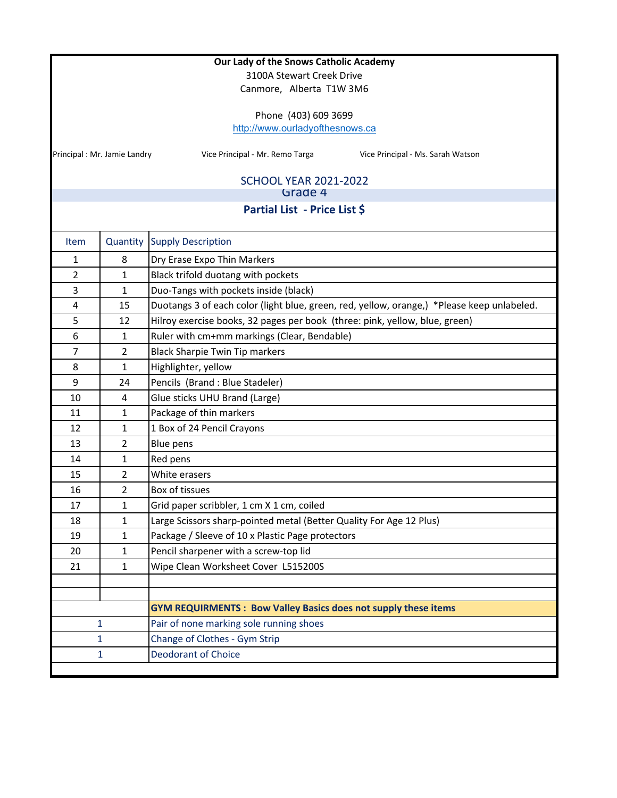|                |                             | Our Lady of the Snows Catholic Academy                                                     |  |  |  |
|----------------|-----------------------------|--------------------------------------------------------------------------------------------|--|--|--|
|                | 3100A Stewart Creek Drive   |                                                                                            |  |  |  |
|                |                             | Canmore, Alberta T1W 3M6                                                                   |  |  |  |
|                |                             | Phone (403) 609 3699                                                                       |  |  |  |
|                |                             | http://www.ourladyofthesnows.ca                                                            |  |  |  |
|                |                             |                                                                                            |  |  |  |
|                | Principal: Mr. Jamie Landry | Vice Principal - Mr. Remo Targa<br>Vice Principal - Ms. Sarah Watson                       |  |  |  |
|                |                             |                                                                                            |  |  |  |
|                |                             | <b>SCHOOL YEAR 2021-2022</b><br>Grade 4                                                    |  |  |  |
|                |                             | Partial List - Price List \$                                                               |  |  |  |
|                |                             |                                                                                            |  |  |  |
| <b>Item</b>    | Quantity                    | <b>Supply Description</b>                                                                  |  |  |  |
| $\mathbf{1}$   | 8                           | Dry Erase Expo Thin Markers                                                                |  |  |  |
| $\overline{2}$ | $\mathbf{1}$                | Black trifold duotang with pockets                                                         |  |  |  |
| 3              | $\mathbf{1}$                | Duo-Tangs with pockets inside (black)                                                      |  |  |  |
| 4              | 15                          | Duotangs 3 of each color (light blue, green, red, yellow, orange,) *Please keep unlabeled. |  |  |  |
| 5              | 12                          | Hilroy exercise books, 32 pages per book (three: pink, yellow, blue, green)                |  |  |  |
| 6              | $\mathbf{1}$                | Ruler with cm+mm markings (Clear, Bendable)                                                |  |  |  |
| 7              | $\overline{2}$              | <b>Black Sharpie Twin Tip markers</b>                                                      |  |  |  |
| 8              | $\mathbf{1}$                | Highlighter, yellow                                                                        |  |  |  |
| 9              | 24                          | Pencils (Brand: Blue Stadeler)                                                             |  |  |  |
| 10             | 4                           | Glue sticks UHU Brand (Large)                                                              |  |  |  |
| 11             | $\mathbf{1}$                | Package of thin markers                                                                    |  |  |  |
| 12             | $\mathbf{1}$                | 1 Box of 24 Pencil Crayons                                                                 |  |  |  |
| 13             | $\overline{2}$              | <b>Blue pens</b>                                                                           |  |  |  |
| 14             | $\mathbf{1}$                | Red pens                                                                                   |  |  |  |
| 15             | $\overline{2}$              | White erasers                                                                              |  |  |  |
| 16             | $\overline{2}$              | Box of tissues                                                                             |  |  |  |
| 17             | 1                           | Grid paper scribbler, 1 cm X 1 cm, coiled                                                  |  |  |  |
| 18             | $\mathbf{1}$                | Large Scissors sharp-pointed metal (Better Quality For Age 12 Plus)                        |  |  |  |
| 19             | $\mathbf{1}$                | Package / Sleeve of 10 x Plastic Page protectors                                           |  |  |  |
| 20             | $\mathbf{1}$                | Pencil sharpener with a screw-top lid                                                      |  |  |  |
| 21             | $\mathbf{1}$                | Wipe Clean Worksheet Cover L515200S                                                        |  |  |  |
|                |                             |                                                                                            |  |  |  |
|                |                             |                                                                                            |  |  |  |
|                |                             | <b>GYM REQUIRMENTS: Bow Valley Basics does not supply these items</b>                      |  |  |  |
|                | 1                           | Pair of none marking sole running shoes                                                    |  |  |  |
|                | 1                           | Change of Clothes - Gym Strip                                                              |  |  |  |
|                | 1                           | <b>Deodorant of Choice</b>                                                                 |  |  |  |
|                |                             |                                                                                            |  |  |  |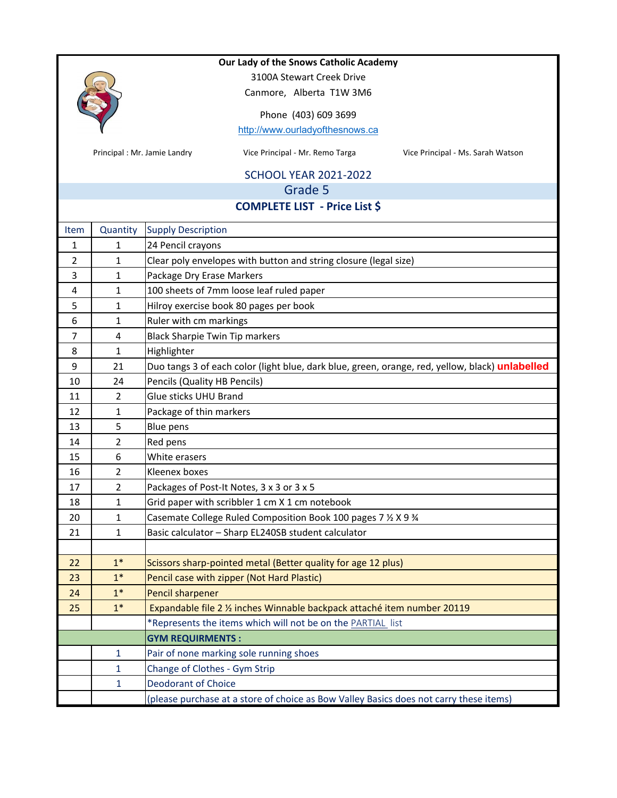

3100A Stewart Creek Drive Canmore, Alberta T1W 3M6

Phone (403) 609 3699 http://www.ourladyofthesnows.ca

Principal : Mr. Jamie Landry **Mr. Action Communist Communist Communist** Principal - Mr. Sarah Watson Principal - Ms. Sarah Watson

### SCHOOL YEAR 2021‐2022

Grade 5

## **COMPLETE LIST ‐ Price List \$**

| Item                    | Quantity       | <b>Supply Description</b>                                                                       |  |
|-------------------------|----------------|-------------------------------------------------------------------------------------------------|--|
| 1                       | 1              | 24 Pencil crayons                                                                               |  |
| $\overline{2}$          | $\mathbf{1}$   | Clear poly envelopes with button and string closure (legal size)                                |  |
| 3                       | 1              | Package Dry Erase Markers                                                                       |  |
| $\overline{\mathbf{4}}$ | 1              | 100 sheets of 7mm loose leaf ruled paper                                                        |  |
| 5                       | $\mathbf{1}$   | Hilroy exercise book 80 pages per book                                                          |  |
| 6                       | 1              | Ruler with cm markings                                                                          |  |
| 7                       | 4              | <b>Black Sharpie Twin Tip markers</b>                                                           |  |
| 8                       | $\mathbf{1}$   | Highlighter                                                                                     |  |
| 9                       | 21             | Duo tangs 3 of each color (light blue, dark blue, green, orange, red, yellow, black) unlabelled |  |
| $10\,$                  | 24             | Pencils (Quality HB Pencils)                                                                    |  |
| 11                      | $\overline{2}$ | Glue sticks UHU Brand                                                                           |  |
| 12                      | 1              | Package of thin markers                                                                         |  |
| 13                      | 5              | <b>Blue pens</b>                                                                                |  |
| 14                      | $\overline{2}$ | Red pens                                                                                        |  |
| 15                      | 6              | White erasers                                                                                   |  |
| 16                      | $\overline{2}$ | Kleenex boxes                                                                                   |  |
| 17                      | $\overline{2}$ | Packages of Post-It Notes, 3 x 3 or 3 x 5                                                       |  |
| 18                      | 1              | Grid paper with scribbler 1 cm X 1 cm notebook                                                  |  |
| 20                      | 1              | Casemate College Ruled Composition Book 100 pages 7 % X 9 %                                     |  |
| 21                      | 1              | Basic calculator - Sharp EL240SB student calculator                                             |  |
|                         |                |                                                                                                 |  |
| 22                      | $1*$           | Scissors sharp-pointed metal (Better quality for age 12 plus)                                   |  |
| 23                      | $1*$           | Pencil case with zipper (Not Hard Plastic)                                                      |  |
| 24                      | $1*$           | <b>Pencil sharpener</b>                                                                         |  |
| 25                      | $1*$           | Expandable file 2 % inches Winnable backpack attaché item number 20119                          |  |
|                         |                | *Represents the items which will not be on the PARTIAL list                                     |  |
|                         |                | <b>GYM REQUIRMENTS:</b>                                                                         |  |
|                         | $\mathbf{1}$   | Pair of none marking sole running shoes                                                         |  |
|                         | 1              | Change of Clothes - Gym Strip                                                                   |  |
|                         | 1              | <b>Deodorant of Choice</b>                                                                      |  |
|                         |                | (please purchase at a store of choice as Bow Valley Basics does not carry these items)          |  |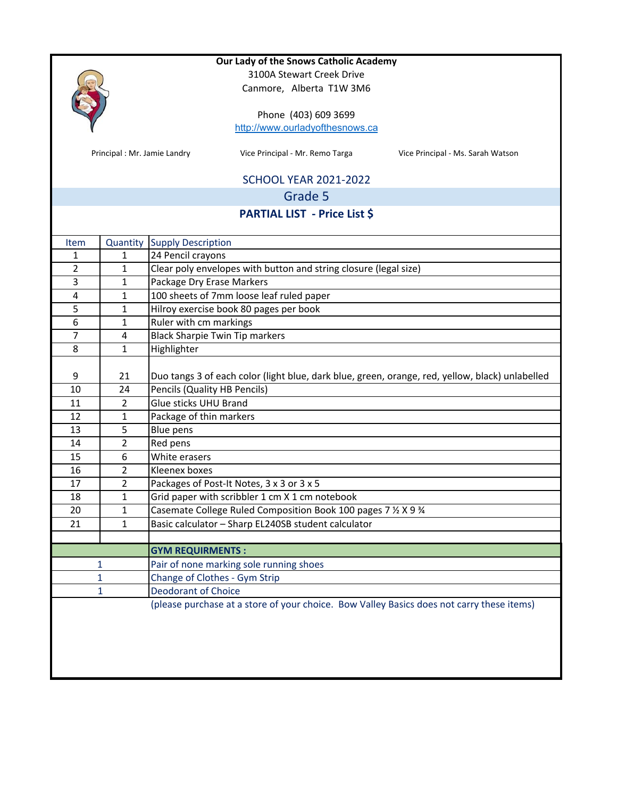|                |                             |                                                | Our Lady of the Snows Catholic Academy                                                    |                                                                                                 |  |  |
|----------------|-----------------------------|------------------------------------------------|-------------------------------------------------------------------------------------------|-------------------------------------------------------------------------------------------------|--|--|
|                |                             |                                                | 3100A Stewart Creek Drive                                                                 |                                                                                                 |  |  |
|                |                             |                                                | Canmore, Alberta T1W 3M6                                                                  |                                                                                                 |  |  |
|                |                             |                                                | Phone (403) 609 3699                                                                      |                                                                                                 |  |  |
|                |                             |                                                | http://www.ourladyofthesnows.ca                                                           |                                                                                                 |  |  |
|                |                             |                                                |                                                                                           |                                                                                                 |  |  |
|                | Principal: Mr. Jamie Landry |                                                | Vice Principal - Mr. Remo Targa                                                           | Vice Principal - Ms. Sarah Watson                                                               |  |  |
|                |                             |                                                | <b>SCHOOL YEAR 2021-2022</b>                                                              |                                                                                                 |  |  |
|                |                             |                                                | Grade 5                                                                                   |                                                                                                 |  |  |
|                |                             |                                                | <b>PARTIAL LIST - Price List \$</b>                                                       |                                                                                                 |  |  |
|                |                             |                                                |                                                                                           |                                                                                                 |  |  |
| Item<br>1      | Quantity<br>$\mathbf{1}$    | <b>Supply Description</b><br>24 Pencil crayons |                                                                                           |                                                                                                 |  |  |
| $\overline{2}$ | $\mathbf{1}$                |                                                |                                                                                           |                                                                                                 |  |  |
|                |                             |                                                | Clear poly envelopes with button and string closure (legal size)                          |                                                                                                 |  |  |
| 3              | $\mathbf{1}$                | Package Dry Erase Markers                      |                                                                                           |                                                                                                 |  |  |
| $\pmb{4}$      | $\mathbf{1}$                |                                                | 100 sheets of 7mm loose leaf ruled paper                                                  |                                                                                                 |  |  |
| 5              | $\mathbf{1}$                |                                                | Hilroy exercise book 80 pages per book                                                    |                                                                                                 |  |  |
| 6              | $\mathbf{1}$                | Ruler with cm markings                         |                                                                                           |                                                                                                 |  |  |
| 7              | 4                           |                                                | <b>Black Sharpie Twin Tip markers</b>                                                     |                                                                                                 |  |  |
| 8              | $\mathbf{1}$                | Highlighter                                    |                                                                                           |                                                                                                 |  |  |
| 9              | 21                          |                                                |                                                                                           | Duo tangs 3 of each color (light blue, dark blue, green, orange, red, yellow, black) unlabelled |  |  |
| 10             | 24                          | Pencils (Quality HB Pencils)                   |                                                                                           |                                                                                                 |  |  |
| 11             | $\overline{2}$              | Glue sticks UHU Brand                          |                                                                                           |                                                                                                 |  |  |
| 12             | $\mathbf{1}$                | Package of thin markers                        |                                                                                           |                                                                                                 |  |  |
| 13             | 5                           | Blue pens                                      |                                                                                           |                                                                                                 |  |  |
| 14             | $\overline{2}$              | Red pens                                       |                                                                                           |                                                                                                 |  |  |
| 15             | 6                           | White erasers                                  |                                                                                           |                                                                                                 |  |  |
| 16             | $\overline{2}$              | Kleenex boxes                                  |                                                                                           |                                                                                                 |  |  |
| 17             | $\overline{2}$              |                                                | Packages of Post-It Notes, 3 x 3 or 3 x 5                                                 |                                                                                                 |  |  |
| 18             | $\mathbf{1}$                |                                                | Grid paper with scribbler 1 cm X 1 cm notebook                                            |                                                                                                 |  |  |
| 20             | 1                           |                                                | Casemate College Ruled Composition Book 100 pages 7 1/2 X 9 3/4                           |                                                                                                 |  |  |
| 21             | $\mathbf{1}$                |                                                | Basic calculator - Sharp EL240SB student calculator                                       |                                                                                                 |  |  |
|                |                             |                                                |                                                                                           |                                                                                                 |  |  |
|                |                             | <b>GYM REQUIRMENTS:</b>                        |                                                                                           |                                                                                                 |  |  |
|                | 1                           |                                                | Pair of none marking sole running shoes                                                   |                                                                                                 |  |  |
|                | 1                           | Change of Clothes - Gym Strip                  |                                                                                           |                                                                                                 |  |  |
|                | $\mathbf{1}$                | <b>Deodorant of Choice</b>                     |                                                                                           |                                                                                                 |  |  |
|                |                             |                                                | (please purchase at a store of your choice. Bow Valley Basics does not carry these items) |                                                                                                 |  |  |
|                |                             |                                                |                                                                                           |                                                                                                 |  |  |
|                |                             |                                                |                                                                                           |                                                                                                 |  |  |
|                |                             |                                                |                                                                                           |                                                                                                 |  |  |
|                |                             |                                                |                                                                                           |                                                                                                 |  |  |
|                |                             |                                                |                                                                                           |                                                                                                 |  |  |
|                |                             |                                                |                                                                                           |                                                                                                 |  |  |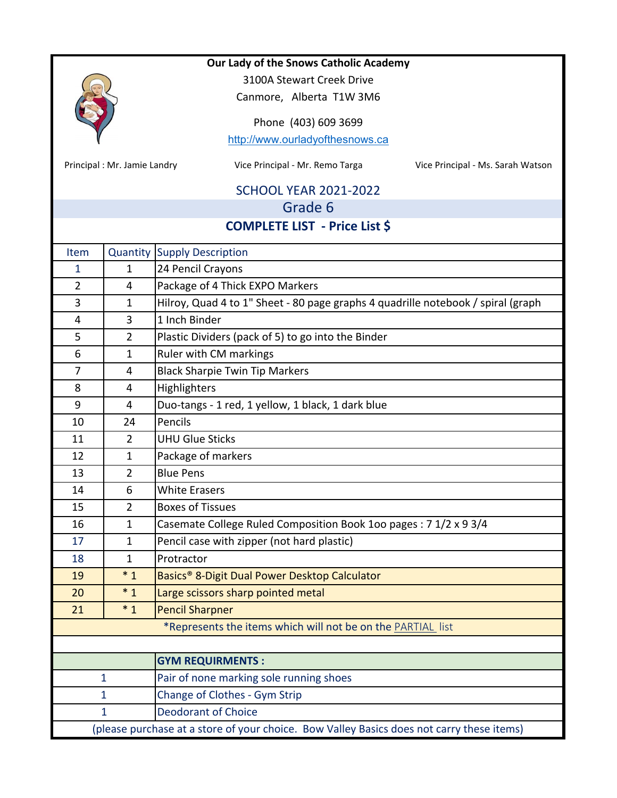

3100A Stewart Creek Drive

Canmore, Alberta T1W 3M6

Phone (403) 609 3699

http://www.ourladyofthesnows.ca

Principal : Mr. Jamie Landry **Mr. State Commental City City Commentairs Comment** Principal - Ms. Sarah Watson

# SCHOOL YEAR 2021‐2022

# Grade 6

## **COMPLETE LIST ‐ Price List \$**

| Item                                                                                      |                | <b>Quantity Supply Description</b>                                               |  |
|-------------------------------------------------------------------------------------------|----------------|----------------------------------------------------------------------------------|--|
| $\mathbf{1}$                                                                              | 1              | 24 Pencil Crayons                                                                |  |
| $\overline{2}$                                                                            | 4              | Package of 4 Thick EXPO Markers                                                  |  |
| 3                                                                                         | $\mathbf{1}$   | Hilroy, Quad 4 to 1" Sheet - 80 page graphs 4 quadrille notebook / spiral (graph |  |
| 4                                                                                         | 3              | 1 Inch Binder                                                                    |  |
| 5                                                                                         | $\overline{2}$ | Plastic Dividers (pack of 5) to go into the Binder                               |  |
| 6                                                                                         | $\mathbf{1}$   | Ruler with CM markings                                                           |  |
| $\overline{7}$                                                                            | $\overline{4}$ | <b>Black Sharpie Twin Tip Markers</b>                                            |  |
| 8                                                                                         | 4              | Highlighters                                                                     |  |
| 9                                                                                         | $\overline{4}$ | Duo-tangs - 1 red, 1 yellow, 1 black, 1 dark blue                                |  |
| 10                                                                                        | 24             | Pencils                                                                          |  |
| 11                                                                                        | $\overline{2}$ | <b>UHU Glue Sticks</b>                                                           |  |
| 12                                                                                        | $\mathbf{1}$   | Package of markers                                                               |  |
| 13                                                                                        | $\overline{2}$ | <b>Blue Pens</b>                                                                 |  |
| 14                                                                                        | 6              | <b>White Erasers</b>                                                             |  |
| 15                                                                                        | $\overline{2}$ | <b>Boxes of Tissues</b>                                                          |  |
| 16                                                                                        | 1              | Casemate College Ruled Composition Book 100 pages: 7 1/2 x 9 3/4                 |  |
| 17                                                                                        | $\mathbf{1}$   | Pencil case with zipper (not hard plastic)                                       |  |
| 18                                                                                        | $\mathbf{1}$   | Protractor                                                                       |  |
| 19                                                                                        | $*_{1}$        | Basics <sup>®</sup> 8-Digit Dual Power Desktop Calculator                        |  |
| 20                                                                                        | $*_{1}$        | Large scissors sharp pointed metal                                               |  |
| 21                                                                                        | $*1$           | <b>Pencil Sharpner</b>                                                           |  |
|                                                                                           |                | *Represents the items which will not be on the PARTIAL list                      |  |
|                                                                                           |                |                                                                                  |  |
|                                                                                           |                | <b>GYM REQUIRMENTS:</b>                                                          |  |
| 1                                                                                         |                | Pair of none marking sole running shoes                                          |  |
| 1                                                                                         |                | Change of Clothes - Gym Strip                                                    |  |
| 1                                                                                         |                | <b>Deodorant of Choice</b>                                                       |  |
| (please purchase at a store of your choice. Bow Valley Basics does not carry these items) |                |                                                                                  |  |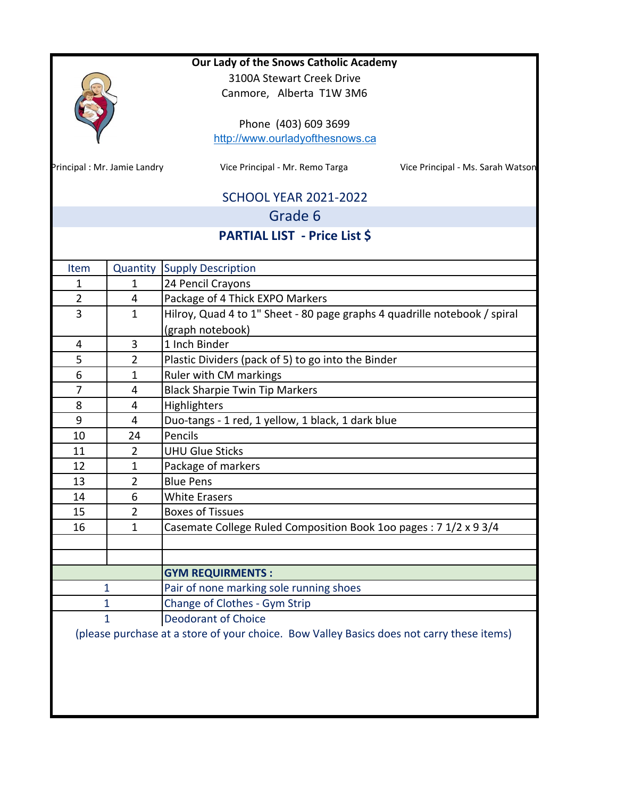|                             |                                                                      | Our Lady of the Snows Catholic Academy                                                    |  |  |  |
|-----------------------------|----------------------------------------------------------------------|-------------------------------------------------------------------------------------------|--|--|--|
|                             |                                                                      | 3100A Stewart Creek Drive                                                                 |  |  |  |
|                             |                                                                      | Canmore, Alberta T1W 3M6                                                                  |  |  |  |
|                             |                                                                      |                                                                                           |  |  |  |
|                             |                                                                      | Phone (403) 609 3699                                                                      |  |  |  |
|                             |                                                                      | http://www.ourladyofthesnows.ca                                                           |  |  |  |
|                             |                                                                      |                                                                                           |  |  |  |
| Principal: Mr. Jamie Landry |                                                                      | Vice Principal - Mr. Remo Targa<br>Vice Principal - Ms. Sarah Watson                      |  |  |  |
|                             |                                                                      |                                                                                           |  |  |  |
|                             |                                                                      | <b>SCHOOL YEAR 2021-2022</b>                                                              |  |  |  |
|                             |                                                                      | Grade 6                                                                                   |  |  |  |
|                             |                                                                      | <b>PARTIAL LIST - Price List \$</b>                                                       |  |  |  |
|                             |                                                                      |                                                                                           |  |  |  |
| Item                        | Quantity                                                             | <b>Supply Description</b>                                                                 |  |  |  |
| 1                           | $\mathbf{1}$                                                         | 24 Pencil Crayons                                                                         |  |  |  |
| $\overline{2}$              | 4                                                                    | Package of 4 Thick EXPO Markers                                                           |  |  |  |
| 3                           | $\mathbf{1}$                                                         | Hilroy, Quad 4 to 1" Sheet - 80 page graphs 4 quadrille notebook / spiral                 |  |  |  |
|                             |                                                                      | (graph notebook)                                                                          |  |  |  |
| 4                           | 3                                                                    | 1 Inch Binder                                                                             |  |  |  |
| 5                           | $\overline{2}$<br>Plastic Dividers (pack of 5) to go into the Binder |                                                                                           |  |  |  |
| 6                           | $\mathbf 1$                                                          | Ruler with CM markings                                                                    |  |  |  |
| 7                           | 4                                                                    | <b>Black Sharpie Twin Tip Markers</b>                                                     |  |  |  |
| 8                           |                                                                      | Highlighters<br>4                                                                         |  |  |  |
| 9                           | $\overline{4}$                                                       | Duo-tangs - 1 red, 1 yellow, 1 black, 1 dark blue                                         |  |  |  |
| 10                          | 24                                                                   | Pencils                                                                                   |  |  |  |
| 11                          | $\overline{2}$                                                       | <b>UHU Glue Sticks</b>                                                                    |  |  |  |
| 12                          | $\mathbf{1}$                                                         | Package of markers                                                                        |  |  |  |
| 13                          | $\overline{2}$                                                       | <b>Blue Pens</b>                                                                          |  |  |  |
| 14                          | 6                                                                    | <b>White Erasers</b>                                                                      |  |  |  |
| 15                          | $\overline{2}$                                                       | <b>Boxes of Tissues</b>                                                                   |  |  |  |
| 16                          | $\mathbf{1}$                                                         | Casemate College Ruled Composition Book 100 pages: 7 1/2 x 9 3/4                          |  |  |  |
|                             |                                                                      |                                                                                           |  |  |  |
|                             |                                                                      |                                                                                           |  |  |  |
|                             |                                                                      | <b>GYM REQUIRMENTS:</b>                                                                   |  |  |  |
| 1                           |                                                                      | Pair of none marking sole running shoes                                                   |  |  |  |
| 1                           |                                                                      | Change of Clothes - Gym Strip                                                             |  |  |  |
| $\mathbf{1}$                |                                                                      | <b>Deodorant of Choice</b>                                                                |  |  |  |
|                             |                                                                      | (please purchase at a store of your choice. Bow Valley Basics does not carry these items) |  |  |  |
|                             |                                                                      |                                                                                           |  |  |  |
|                             |                                                                      |                                                                                           |  |  |  |
|                             |                                                                      |                                                                                           |  |  |  |